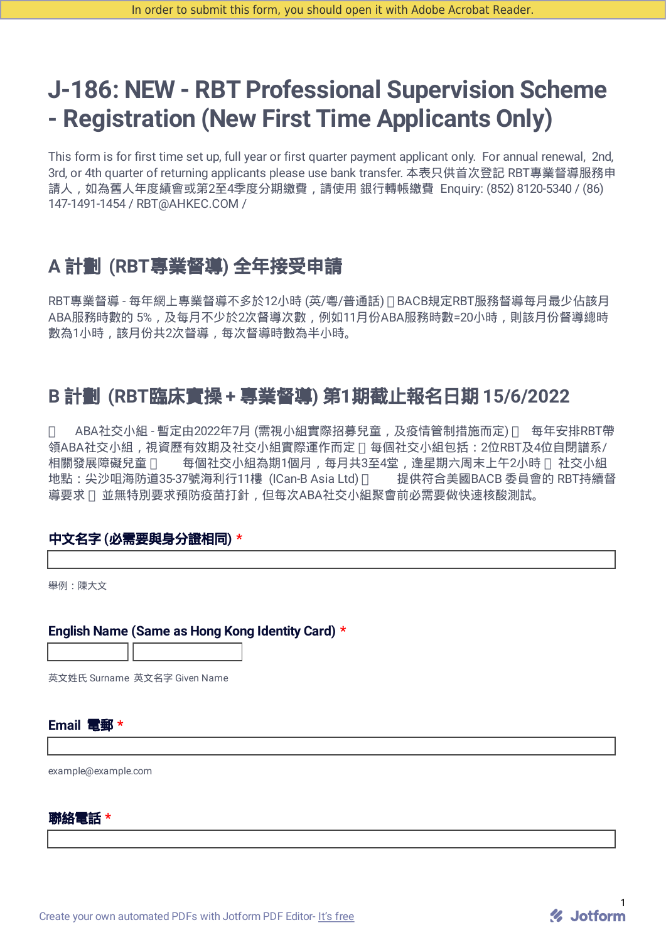# **J-186: NEW - RBT Professional Supervision Scheme - Registration (New First Time Applicants Only)**

This form is for first time set up, full year or first quarter payment applicant only. For annual renewal, 2nd, 3rd, or 4th quarter of returning applicants please use bank transfer. 本表只供首次登記 RBT專業督導服務申 請人,如為舊人年度績會或第2至4季度分期繳費,請使用 銀行轉帳繳費 Enquiry: (852) 8120-5340 / (86) 147-1491-1454 / RBT@AHKEC.COM /

## **A** 計劃 **(RBT**專業督導**)** 全年接受申請

RBT專業督導 - 每年網上專業督導不多於12小時 (英/粵/普通話) BACB規定RBT服務督導每月最少佔該月 ABA服務時數的 5%,及每月不少於2次督導次數,例如11月份ABA服務時數=20小時,則該月份督導總時 數為1小時,該月份共2次督導,每次督導時數為半小時。

## **B** 計劃 **(RBT**臨床實操 **+** 專業督導**)** 第**1**期截止報名日期 **15/6/2022**

□ ABA社交小組 - 暫定由2022年7月 (需視小組實際招募兒童,及疫情管制措施而定) □ 每年安排RBT帶 領ABA社交小組,視資歷有效期及社交小組實際運作而定 n 每個社交小組包括: 2位RBT及4位自閉譜系/ 相關發展障礙兒童 口 每個社交小組為期1個月,每月共3至4堂,逢星期六周末上午2小時 口社交小組 地點:尖沙咀海防道35-37號海利行11樓(ICan-B Asia Ltd) □ 提供符合美國BACB 委員會的 RBT持續督 導要求 並無特別要求預防疫苗打針,但每次ABA社交小組聚會前必需要做快速核酸測試。

#### 中文名字 **(**必需要與身分證相同**) \***

舉例:陳大文

#### **English Name (Same as Hong Kong Identity Card) \***

英文姓氏 Surname 英文名字 Given Name

#### **Email** 電郵 **\***

example@example.com

#### 聯絡電話 **\***

Create your own [automated](https://www.jotform.com/products/pdf-editor/?utm_source=pdf_file&utm_medium=referral&utm_term=221468612530451&utm_content=jotform_text&utm_campaign=pdf_file_branding_footer) PDFs with Jotform PDF Editor- It's free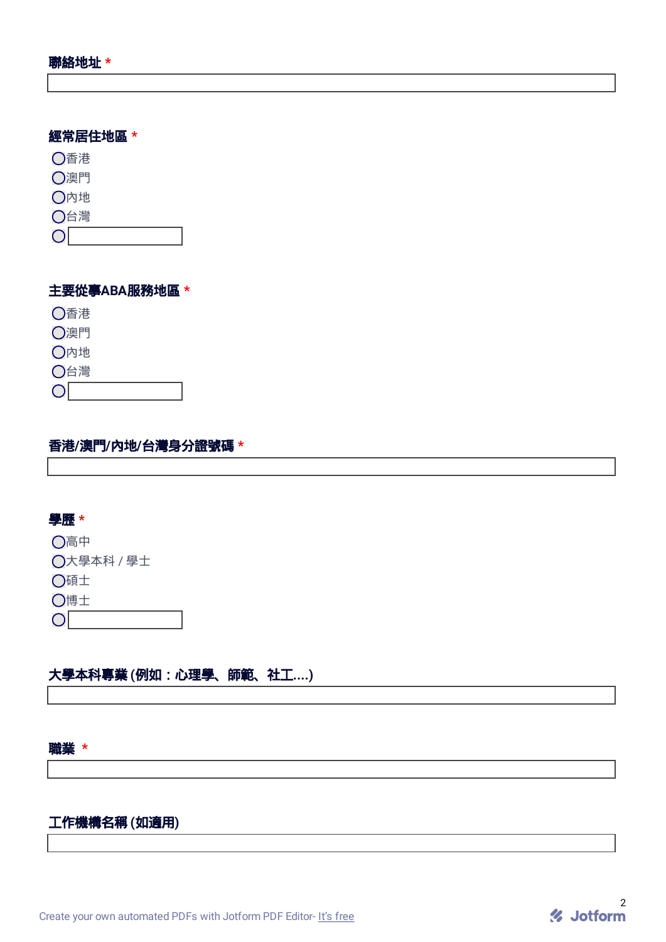#### 經常居住地區 **\***

香港 澳門 內地 台灣  $\circ$ 

## 主要從事**ABA**服務地區 **\***

香港

澳門

內地

 $\circ$ 

台灣

## 香港**/**澳門**/**內地**/**台灣身分證號碼 **\***

#### 學歷 **\***

高中

大學本科 / 學士

碩士

博士

 $\circ$ 

## 大學本科專業 **(**例如:心理學、師範、社工**....)**

#### 職業 **\***

## 工作機構名稱 **(**如適用**)**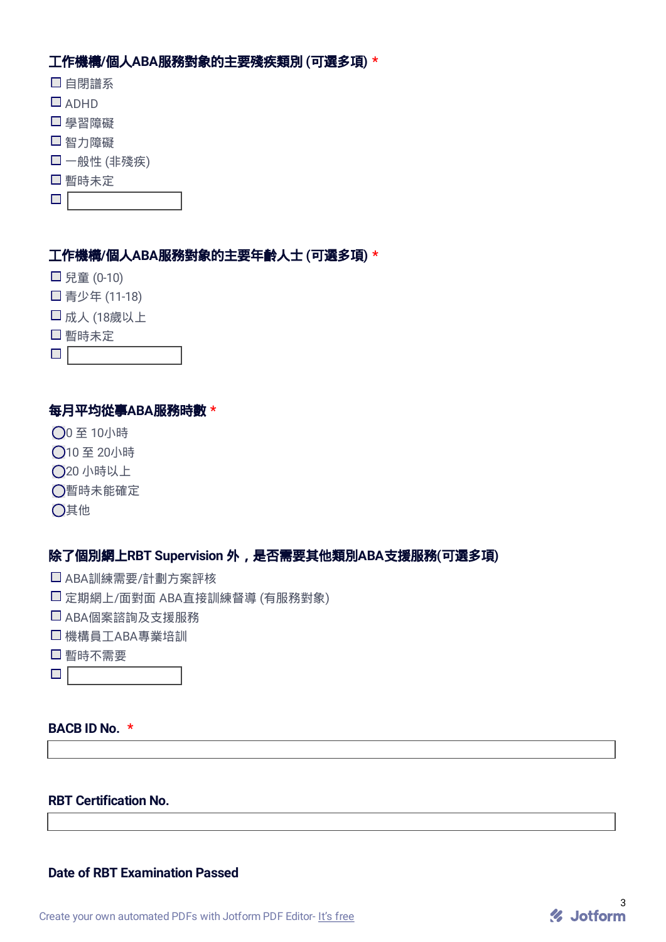## 工作機構**/**個人**ABA**服務對象的主要殘疾類別 **(**可選多項**) \***

- 自閉譜系
- $\square$  ADHD
- □ 學習障礙
- 智力障礙
- 一般性 (非殘疾)
- □暫時未定
- $\Box$  and  $\Box$

#### 工作機構**/**個人**ABA**服務對象的主要年齡人士 **(**可選多項**) \***

- □ 兒童 (0-10)
- □ 青少年 (11-18)
- 成人 (18歲以上
- □暫時未定
- $\blacksquare$

#### 每月平均從事**ABA**服務時數 **\***

- 0 至 10小時
- 10 至 20小時
- 20 小時以上
- ○暫時未能確定
- 其他

## 除了個別網上**RBT Supervision** 外,是否需要其他類別**ABA**支援服務**(**可選多項**)**

- ABA訓練需要/計劃方案評核
- 定期網上/面對面 ABA直接訓練督導 (有服務對象)
- ABA個案諮詢及支援服務
- 機構員工ABA專業培訓
- 暫時不需要
- $\blacksquare$

## **BACB ID No. \***

#### **RBT Certification No.**

#### **Date of RBT Examination Passed**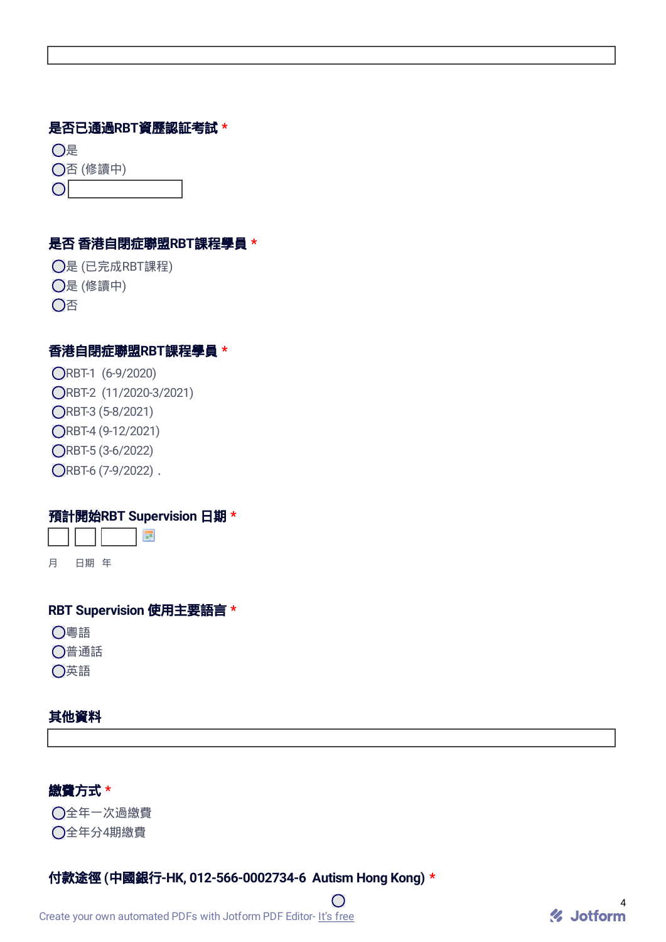#### 是否已通過**RBT**資歷認証考試 **\***

是

否 (修讀中)

 $|O|$ 

#### 是否 香港自閉症聯盟**RBT**課程學員 **\***

是 (已完成RBT課程) 是 (修讀中) 否

#### 香港自閉症聯盟**RBT**課程學員 **\***

RBT-1 (6-9/2020) RBT-2 (11/2020-3/2021) RBT-3 (5-8/2021) RBT-4 (9-12/2021) RBT-5 (3-6/2022) ORBT-6 (7-9/2022).

#### 預計開始**RBT Supervision** 日期 **\***

**III** 

月 日期 年

#### **RBT Supervision** 使用主要語言 **\***

粵語

普通話

英語

#### 其他資料

## 繳費方式 **\***

全年一次過繳費 全年分4期繳費

#### 付款途徑 **(**中國銀行**-HK, 012-566-0002734-6 Autism Hong Kong) \***

 $\bigcirc$